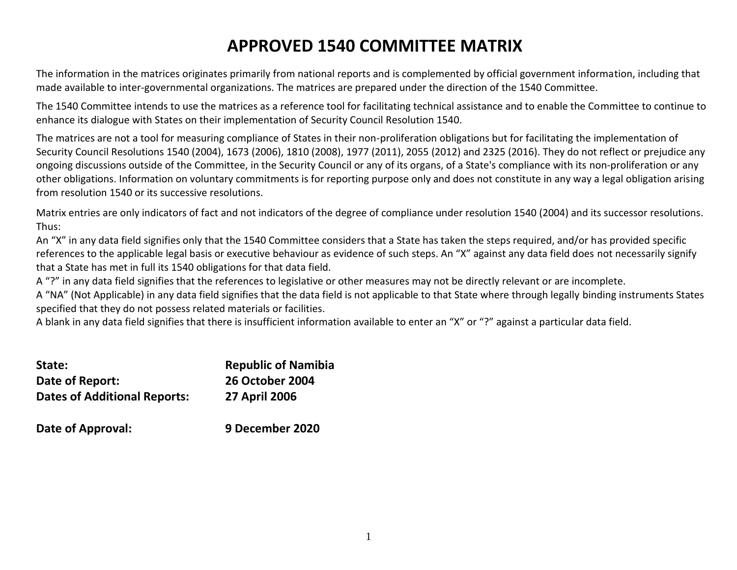# **APPROVED 1540 COMMITTEE MATRIX**

The information in the matrices originates primarily from national reports and is complemented by official government information, including that made available to inter-governmental organizations. The matrices are prepared under the direction of the 1540 Committee.

The 1540 Committee intends to use the matrices as a reference tool for facilitating technical assistance and to enable the Committee to continue to enhance its dialogue with States on their implementation of Security Council Resolution 1540.

The matrices are not a tool for measuring compliance of States in their non-proliferation obligations but for facilitating the implementation of Security Council Resolutions 1540 (2004), 1673 (2006), 1810 (2008), 1977 (2011), 2055 (2012) and 2325 (2016). They do not reflect or prejudice any ongoing discussions outside of the Committee, in the Security Council or any of its organs, of a State's compliance with its non-proliferation or any other obligations. Information on voluntary commitments is for reporting purpose only and does not constitute in any way a legal obligation arising from resolution 1540 or its successive resolutions.

Matrix entries are only indicators of fact and not indicators of the degree of compliance under resolution 1540 (2004) and its successor resolutions. Thus:

An "X" in any data field signifies only that the 1540 Committee considers that a State has taken the steps required, and/or has provided specific references to the applicable legal basis or executive behaviour as evidence of such steps. An "X" against any data field does not necessarily signify that a State has met in full its 1540 obligations for that data field.

A "?" in any data field signifies that the references to legislative or other measures may not be directly relevant or are incomplete.

A "NA" (Not Applicable) in any data field signifies that the data field is not applicable to that State where through legally binding instruments States specified that they do not possess related materials or facilities.

A blank in any data field signifies that there is insufficient information available to enter an "X" or "?" against a particular data field.

| State:                              | <b>Republic of Namibia</b> |
|-------------------------------------|----------------------------|
| Date of Report:                     | <b>26 October 2004</b>     |
| <b>Dates of Additional Reports:</b> | <b>27 April 2006</b>       |
| Date of Approval:                   | 9 December 2020            |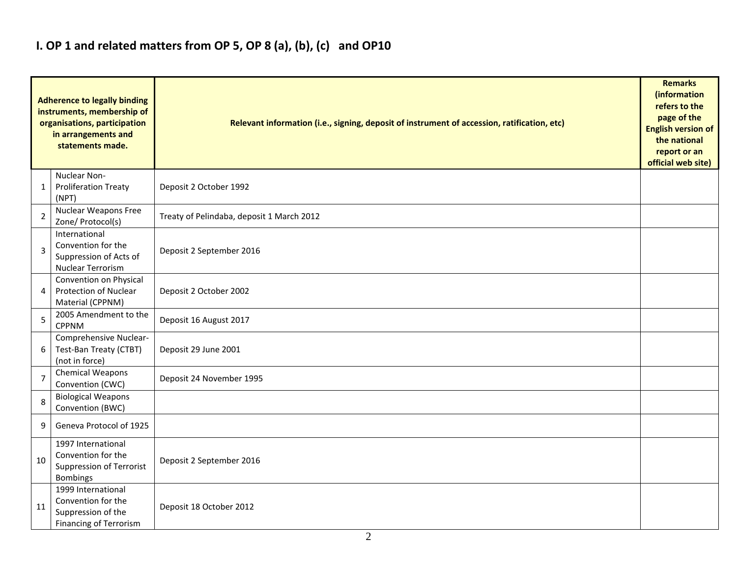## **I. OP 1 and related matters from OP 5, OP 8 (a), (b), (c) and OP10**

| <b>Adherence to legally binding</b><br>instruments, membership of<br>organisations, participation<br>in arrangements and<br>statements made. |                                                                                                 | Relevant information (i.e., signing, deposit of instrument of accession, ratification, etc) |  |  |  |  |  |
|----------------------------------------------------------------------------------------------------------------------------------------------|-------------------------------------------------------------------------------------------------|---------------------------------------------------------------------------------------------|--|--|--|--|--|
| 1                                                                                                                                            | Nuclear Non-<br><b>Proliferation Treaty</b><br>(NPT)                                            | Deposit 2 October 1992                                                                      |  |  |  |  |  |
| $\overline{2}$                                                                                                                               | <b>Nuclear Weapons Free</b><br>Zone/ Protocol(s)                                                | Treaty of Pelindaba, deposit 1 March 2012                                                   |  |  |  |  |  |
| 3                                                                                                                                            | International<br>Convention for the<br>Suppression of Acts of<br>Nuclear Terrorism              | Deposit 2 September 2016                                                                    |  |  |  |  |  |
| 4                                                                                                                                            | Convention on Physical<br>Protection of Nuclear<br>Material (CPPNM)                             | Deposit 2 October 2002                                                                      |  |  |  |  |  |
| 5                                                                                                                                            | 2005 Amendment to the<br><b>CPPNM</b>                                                           | Deposit 16 August 2017                                                                      |  |  |  |  |  |
| 6                                                                                                                                            | Comprehensive Nuclear-<br>Test-Ban Treaty (CTBT)<br>(not in force)                              | Deposit 29 June 2001                                                                        |  |  |  |  |  |
| $\overline{7}$                                                                                                                               | <b>Chemical Weapons</b><br>Convention (CWC)                                                     | Deposit 24 November 1995                                                                    |  |  |  |  |  |
| 8                                                                                                                                            | <b>Biological Weapons</b><br>Convention (BWC)                                                   |                                                                                             |  |  |  |  |  |
| 9                                                                                                                                            | Geneva Protocol of 1925                                                                         |                                                                                             |  |  |  |  |  |
| 10                                                                                                                                           | 1997 International<br>Convention for the<br>Suppression of Terrorist<br>Bombings                | Deposit 2 September 2016                                                                    |  |  |  |  |  |
| 11                                                                                                                                           | 1999 International<br>Convention for the<br>Suppression of the<br><b>Financing of Terrorism</b> | Deposit 18 October 2012                                                                     |  |  |  |  |  |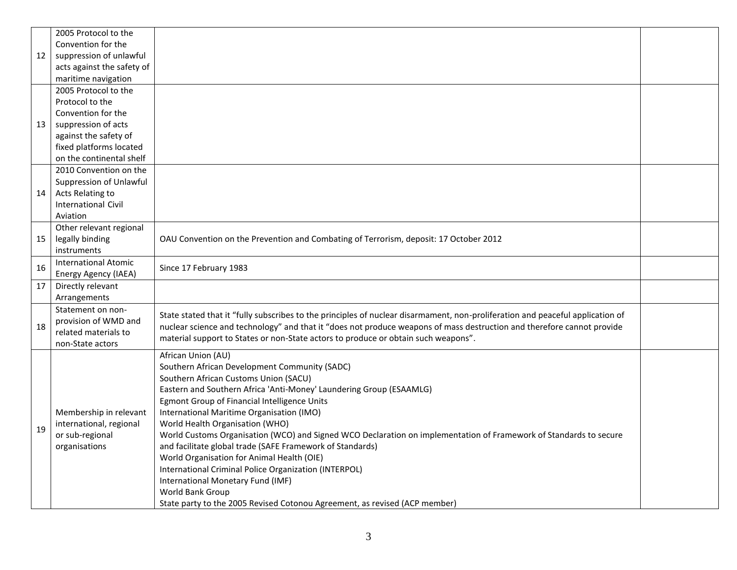|    | 2005 Protocol to the        |                                                                                                                                |  |
|----|-----------------------------|--------------------------------------------------------------------------------------------------------------------------------|--|
|    | Convention for the          |                                                                                                                                |  |
| 12 | suppression of unlawful     |                                                                                                                                |  |
|    | acts against the safety of  |                                                                                                                                |  |
|    | maritime navigation         |                                                                                                                                |  |
|    | 2005 Protocol to the        |                                                                                                                                |  |
|    | Protocol to the             |                                                                                                                                |  |
|    | Convention for the          |                                                                                                                                |  |
| 13 | suppression of acts         |                                                                                                                                |  |
|    | against the safety of       |                                                                                                                                |  |
|    | fixed platforms located     |                                                                                                                                |  |
|    | on the continental shelf    |                                                                                                                                |  |
|    | 2010 Convention on the      |                                                                                                                                |  |
|    | Suppression of Unlawful     |                                                                                                                                |  |
| 14 | Acts Relating to            |                                                                                                                                |  |
|    | <b>International Civil</b>  |                                                                                                                                |  |
|    | Aviation                    |                                                                                                                                |  |
|    | Other relevant regional     |                                                                                                                                |  |
| 15 | legally binding             | OAU Convention on the Prevention and Combating of Terrorism, deposit: 17 October 2012                                          |  |
|    | instruments                 |                                                                                                                                |  |
| 16 | <b>International Atomic</b> | Since 17 February 1983                                                                                                         |  |
|    | Energy Agency (IAEA)        |                                                                                                                                |  |
| 17 | Directly relevant           |                                                                                                                                |  |
|    | Arrangements                |                                                                                                                                |  |
|    | Statement on non-           | State stated that it "fully subscribes to the principles of nuclear disarmament, non-proliferation and peaceful application of |  |
| 18 | provision of WMD and        | nuclear science and technology" and that it "does not produce weapons of mass destruction and therefore cannot provide         |  |
|    | related materials to        | material support to States or non-State actors to produce or obtain such weapons".                                             |  |
|    | non-State actors            |                                                                                                                                |  |
|    |                             | African Union (AU)                                                                                                             |  |
|    |                             | Southern African Development Community (SADC)                                                                                  |  |
|    |                             | Southern African Customs Union (SACU)<br>Eastern and Southern Africa 'Anti-Money' Laundering Group (ESAAMLG)                   |  |
|    |                             |                                                                                                                                |  |
|    | Membership in relevant      | Egmont Group of Financial Intelligence Units<br>International Maritime Organisation (IMO)                                      |  |
|    | international, regional     | World Health Organisation (WHO)                                                                                                |  |
| 19 | or sub-regional             | World Customs Organisation (WCO) and Signed WCO Declaration on implementation of Framework of Standards to secure              |  |
|    | organisations               | and facilitate global trade (SAFE Framework of Standards)                                                                      |  |
|    |                             | World Organisation for Animal Health (OIE)                                                                                     |  |
|    |                             | International Criminal Police Organization (INTERPOL)                                                                          |  |
|    |                             | International Monetary Fund (IMF)                                                                                              |  |
|    |                             | World Bank Group                                                                                                               |  |
|    |                             |                                                                                                                                |  |
|    |                             | State party to the 2005 Revised Cotonou Agreement, as revised (ACP member)                                                     |  |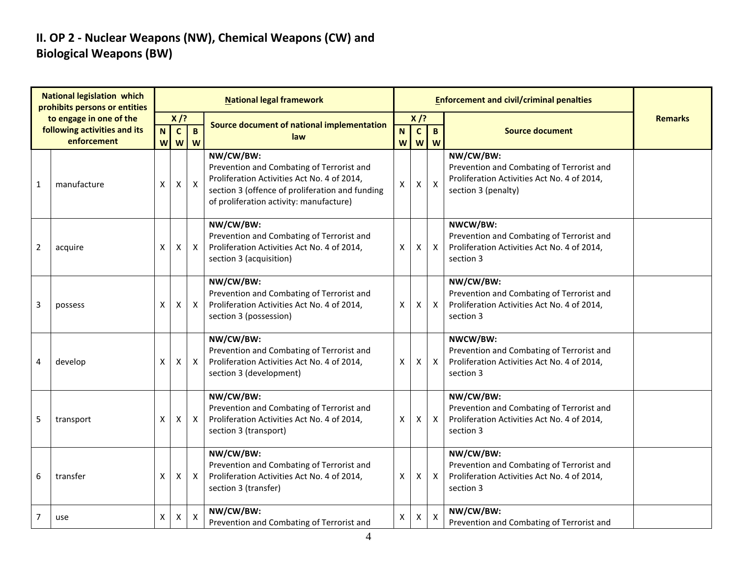### **II. OP 2 - Nuclear Weapons (NW), Chemical Weapons (CW) and Biological Weapons (BW)**

| <b>National legislation which</b><br>prohibits persons or entities |                                             |                  |                                           |                           | <b>National legal framework</b>                                                                                                                                                                     |                   |                   |                           |                                                                                                                              |                |
|--------------------------------------------------------------------|---------------------------------------------|------------------|-------------------------------------------|---------------------------|-----------------------------------------------------------------------------------------------------------------------------------------------------------------------------------------------------|-------------------|-------------------|---------------------------|------------------------------------------------------------------------------------------------------------------------------|----------------|
|                                                                    | to engage in one of the                     |                  | $X$ /?                                    |                           | Source document of national implementation                                                                                                                                                          | $X$ /?            |                   |                           |                                                                                                                              | <b>Remarks</b> |
|                                                                    | following activities and its<br>enforcement | $\mathsf N$<br>W | $\mathbf{C}$<br>$\boldsymbol{\mathsf{W}}$ | B<br>W                    | law                                                                                                                                                                                                 | N<br>$\mathsf{W}$ | $\mathbf{c}$<br>W | B<br>W                    | <b>Source document</b>                                                                                                       |                |
| $\mathbf 1$                                                        | manufacture                                 | X                | $\pmb{\mathsf{X}}$                        | $\boldsymbol{X}$          | NW/CW/BW:<br>Prevention and Combating of Terrorist and<br>Proliferation Activities Act No. 4 of 2014,<br>section 3 (offence of proliferation and funding<br>of proliferation activity: manufacture) | X                 | Χ                 | $\boldsymbol{\mathsf{X}}$ | NW/CW/BW:<br>Prevention and Combating of Terrorist and<br>Proliferation Activities Act No. 4 of 2014,<br>section 3 (penalty) |                |
| $\overline{2}$                                                     | acquire                                     | X                | X                                         | X                         | NW/CW/BW:<br>Prevention and Combating of Terrorist and<br>Proliferation Activities Act No. 4 of 2014,<br>section 3 (acquisition)                                                                    | X                 | X                 | $\mathsf{X}$              | NWCW/BW:<br>Prevention and Combating of Terrorist and<br>Proliferation Activities Act No. 4 of 2014,<br>section 3            |                |
| 3                                                                  | possess                                     | X                | X                                         | $\boldsymbol{X}$          | NW/CW/BW:<br>Prevention and Combating of Terrorist and<br>Proliferation Activities Act No. 4 of 2014,<br>section 3 (possession)                                                                     | Χ                 | X                 | $\mathsf{X}$              | NW/CW/BW:<br>Prevention and Combating of Terrorist and<br>Proliferation Activities Act No. 4 of 2014,<br>section 3           |                |
| 4                                                                  | develop                                     | X                | X                                         | $\mathsf{X}$              | NW/CW/BW:<br>Prevention and Combating of Terrorist and<br>Proliferation Activities Act No. 4 of 2014,<br>section 3 (development)                                                                    | X                 | Χ                 | $\mathsf{X}$              | NWCW/BW:<br>Prevention and Combating of Terrorist and<br>Proliferation Activities Act No. 4 of 2014,<br>section 3            |                |
| 5                                                                  | transport                                   | X                | X                                         | $\boldsymbol{\mathsf{X}}$ | NW/CW/BW:<br>Prevention and Combating of Terrorist and<br>Proliferation Activities Act No. 4 of 2014,<br>section 3 (transport)                                                                      | Χ                 | X                 | $\mathsf{X}$              | NW/CW/BW:<br>Prevention and Combating of Terrorist and<br>Proliferation Activities Act No. 4 of 2014,<br>section 3           |                |
| 6                                                                  | transfer                                    | X                | X                                         | $\boldsymbol{\mathsf{X}}$ | NW/CW/BW:<br>Prevention and Combating of Terrorist and<br>Proliferation Activities Act No. 4 of 2014,<br>section 3 (transfer)                                                                       | X                 | X                 | $\mathsf{X}$              | NW/CW/BW:<br>Prevention and Combating of Terrorist and<br>Proliferation Activities Act No. 4 of 2014,<br>section 3           |                |
| $\overline{7}$                                                     | use                                         | Χ                | X                                         | X                         | NW/CW/BW:<br>Prevention and Combating of Terrorist and                                                                                                                                              | Χ                 | х                 | $\boldsymbol{\mathsf{X}}$ | NW/CW/BW:<br>Prevention and Combating of Terrorist and                                                                       |                |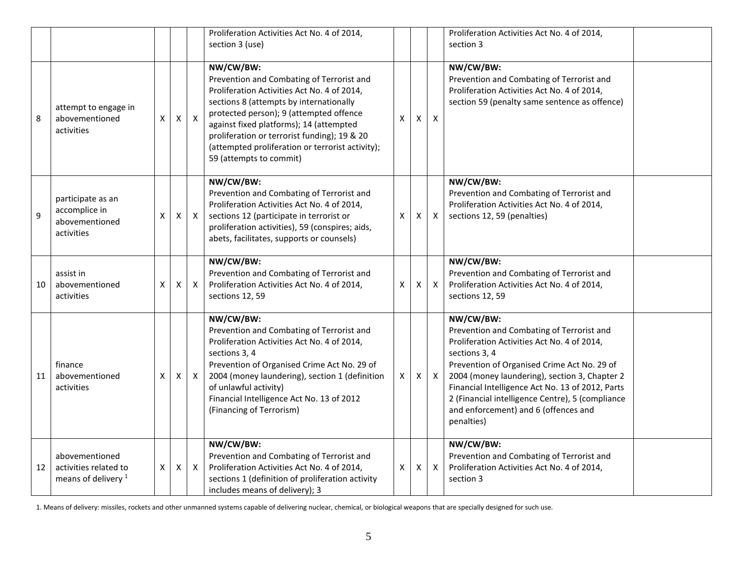|    |                                                                           |   |   |              | Proliferation Activities Act No. 4 of 2014,<br>section 3 (use)                                                                                                                                                                                                                                                                                                        |                    |   |                  | Proliferation Activities Act No. 4 of 2014,<br>section 3                                                                                                                                                                                                                                                                                                                             |  |
|----|---------------------------------------------------------------------------|---|---|--------------|-----------------------------------------------------------------------------------------------------------------------------------------------------------------------------------------------------------------------------------------------------------------------------------------------------------------------------------------------------------------------|--------------------|---|------------------|--------------------------------------------------------------------------------------------------------------------------------------------------------------------------------------------------------------------------------------------------------------------------------------------------------------------------------------------------------------------------------------|--|
| 8  | attempt to engage in<br>abovementioned<br>activities                      | Χ | X | $\mathsf{X}$ | NW/CW/BW:<br>Prevention and Combating of Terrorist and<br>Proliferation Activities Act No. 4 of 2014,<br>sections 8 (attempts by internationally<br>protected person); 9 (attempted offence<br>against fixed platforms); 14 (attempted<br>proliferation or terrorist funding); 19 & 20<br>(attempted proliferation or terrorist activity);<br>59 (attempts to commit) | X                  | X | X                | NW/CW/BW:<br>Prevention and Combating of Terrorist and<br>Proliferation Activities Act No. 4 of 2014,<br>section 59 (penalty same sentence as offence)                                                                                                                                                                                                                               |  |
| 9  | participate as an<br>accomplice in<br>abovementioned<br>activities        | X | X | $\mathsf{X}$ | NW/CW/BW:<br>Prevention and Combating of Terrorist and<br>Proliferation Activities Act No. 4 of 2014,<br>sections 12 (participate in terrorist or<br>proliferation activities), 59 (conspires; aids,<br>abets, facilitates, supports or counsels)                                                                                                                     | X                  | X | $\boldsymbol{X}$ | NW/CW/BW:<br>Prevention and Combating of Terrorist and<br>Proliferation Activities Act No. 4 of 2014,<br>sections 12, 59 (penalties)                                                                                                                                                                                                                                                 |  |
| 10 | assist in<br>abovementioned<br>activities                                 | X | X | $\mathsf{X}$ | NW/CW/BW:<br>Prevention and Combating of Terrorist and<br>Proliferation Activities Act No. 4 of 2014,<br>sections 12, 59                                                                                                                                                                                                                                              | $\pmb{\mathsf{X}}$ | X | $\boldsymbol{X}$ | NW/CW/BW:<br>Prevention and Combating of Terrorist and<br>Proliferation Activities Act No. 4 of 2014,<br>sections 12, 59                                                                                                                                                                                                                                                             |  |
| 11 | finance<br>abovementioned<br>activities                                   | Χ | Χ | X            | NW/CW/BW:<br>Prevention and Combating of Terrorist and<br>Proliferation Activities Act No. 4 of 2014,<br>sections 3, 4<br>Prevention of Organised Crime Act No. 29 of<br>2004 (money laundering), section 1 (definition<br>of unlawful activity)<br>Financial Intelligence Act No. 13 of 2012<br>(Financing of Terrorism)                                             | X                  | X | X                | NW/CW/BW:<br>Prevention and Combating of Terrorist and<br>Proliferation Activities Act No. 4 of 2014,<br>sections 3, 4<br>Prevention of Organised Crime Act No. 29 of<br>2004 (money laundering), section 3, Chapter 2<br>Financial Intelligence Act No. 13 of 2012, Parts<br>2 (Financial intelligence Centre), 5 (compliance<br>and enforcement) and 6 (offences and<br>penalties) |  |
| 12 | abovementioned<br>activities related to<br>means of delivery <sup>1</sup> | X | X | $\mathsf{X}$ | NW/CW/BW:<br>Prevention and Combating of Terrorist and<br>Proliferation Activities Act No. 4 of 2014,<br>sections 1 (definition of proliferation activity<br>includes means of delivery); 3                                                                                                                                                                           | X                  | Χ | $\boldsymbol{X}$ | NW/CW/BW:<br>Prevention and Combating of Terrorist and<br>Proliferation Activities Act No. 4 of 2014,<br>section 3                                                                                                                                                                                                                                                                   |  |

1. Means of delivery: missiles, rockets and other unmanned systems capable of delivering nuclear, chemical, or biological weapons that are specially designed for such use.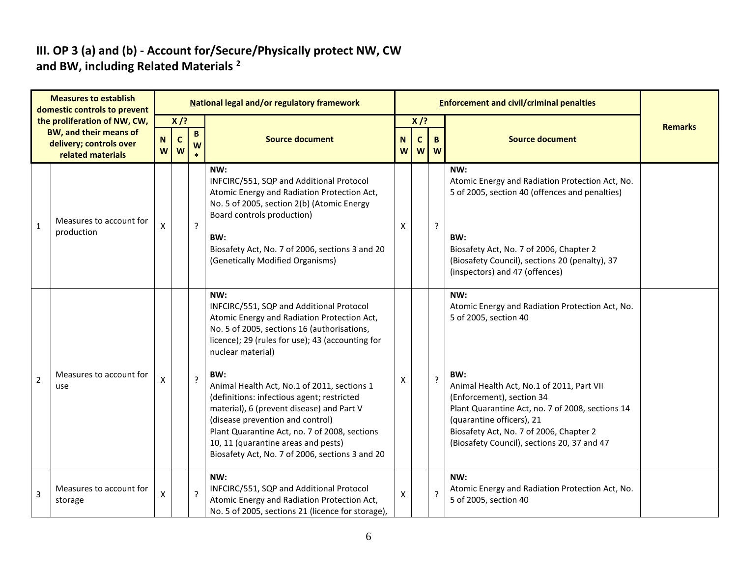#### **III. OP 3 (a) and (b) - Account for/Secure/Physically protect NW, CW and BW, including Related Materials <sup>2</sup>**

| <b>Measures to establish</b><br>domestic controls to prevent |                                                                                                               | National legal and/or regulatory framework |                            |                  |                                                                                                                                                                                                                                                                                                                                                                                                                                                                                                                                                        |                  |                             | <b>Enforcement and civil/criminal penalties</b> |                                                                                                                                                                                                                                                                                                                                             |                |  |  |
|--------------------------------------------------------------|---------------------------------------------------------------------------------------------------------------|--------------------------------------------|----------------------------|------------------|--------------------------------------------------------------------------------------------------------------------------------------------------------------------------------------------------------------------------------------------------------------------------------------------------------------------------------------------------------------------------------------------------------------------------------------------------------------------------------------------------------------------------------------------------------|------------------|-----------------------------|-------------------------------------------------|---------------------------------------------------------------------------------------------------------------------------------------------------------------------------------------------------------------------------------------------------------------------------------------------------------------------------------------------|----------------|--|--|
|                                                              | the proliferation of NW, CW,<br><b>BW, and their means of</b><br>delivery; controls over<br>related materials | ${\bf N}$<br>W                             | $X$ /?<br>$\mathbf c$<br>W | B<br>W<br>$\ast$ | <b>Source document</b>                                                                                                                                                                                                                                                                                                                                                                                                                                                                                                                                 | $\mathbf N$<br>W | $X$ /?<br>$\mathbf{C}$<br>W | B<br>W                                          | <b>Source document</b>                                                                                                                                                                                                                                                                                                                      | <b>Remarks</b> |  |  |
| $\mathbf{1}$                                                 | Measures to account for<br>production                                                                         | X                                          |                            | ?                | NW:<br>INFCIRC/551, SQP and Additional Protocol<br>Atomic Energy and Radiation Protection Act,<br>No. 5 of 2005, section 2(b) (Atomic Energy<br>Board controls production)<br>BW:<br>Biosafety Act, No. 7 of 2006, sections 3 and 20<br>(Genetically Modified Organisms)                                                                                                                                                                                                                                                                               | Χ                |                             | ?                                               | NW:<br>Atomic Energy and Radiation Protection Act, No.<br>5 of 2005, section 40 (offences and penalties)<br>BW:<br>Biosafety Act, No. 7 of 2006, Chapter 2<br>(Biosafety Council), sections 20 (penalty), 37<br>(inspectors) and 47 (offences)                                                                                              |                |  |  |
| $\overline{2}$                                               | Measures to account for<br>use                                                                                | X                                          |                            | ?                | NW:<br>INFCIRC/551, SQP and Additional Protocol<br>Atomic Energy and Radiation Protection Act,<br>No. 5 of 2005, sections 16 (authorisations,<br>licence); 29 (rules for use); 43 (accounting for<br>nuclear material)<br>BW:<br>Animal Health Act, No.1 of 2011, sections 1<br>(definitions: infectious agent; restricted<br>material), 6 (prevent disease) and Part V<br>(disease prevention and control)<br>Plant Quarantine Act, no. 7 of 2008, sections<br>10, 11 (quarantine areas and pests)<br>Biosafety Act, No. 7 of 2006, sections 3 and 20 | X                |                             | ?                                               | NW:<br>Atomic Energy and Radiation Protection Act, No.<br>5 of 2005, section 40<br>BW:<br>Animal Health Act, No.1 of 2011, Part VII<br>(Enforcement), section 34<br>Plant Quarantine Act, no. 7 of 2008, sections 14<br>(quarantine officers), 21<br>Biosafety Act, No. 7 of 2006, Chapter 2<br>(Biosafety Council), sections 20, 37 and 47 |                |  |  |
| 3                                                            | Measures to account for<br>storage                                                                            | X                                          |                            | ?                | NW:<br>INFCIRC/551, SQP and Additional Protocol<br>Atomic Energy and Radiation Protection Act,<br>No. 5 of 2005, sections 21 (licence for storage),                                                                                                                                                                                                                                                                                                                                                                                                    | X                |                             | ?                                               | NW:<br>Atomic Energy and Radiation Protection Act, No.<br>5 of 2005, section 40                                                                                                                                                                                                                                                             |                |  |  |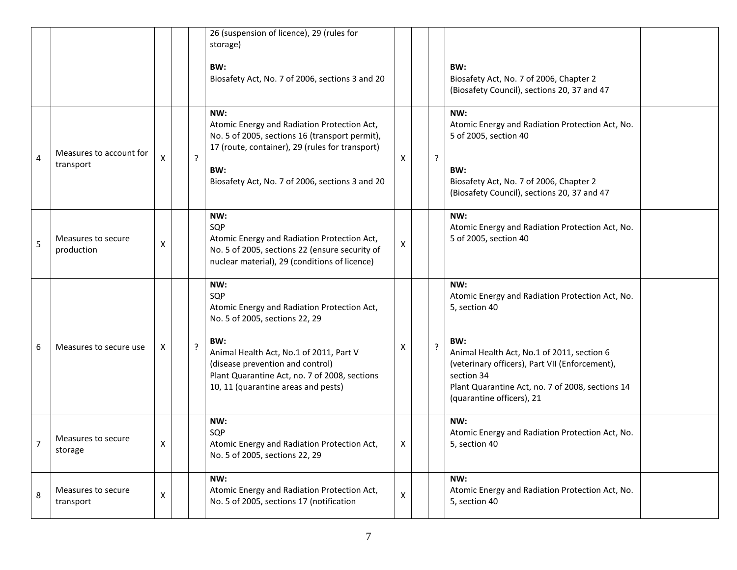|   |                                      |   |   | 26 (suspension of licence), 29 (rules for<br>storage)<br>BW:<br>Biosafety Act, No. 7 of 2006, sections 3 and 20                                                                                                                                                           |    |                | BW:<br>Biosafety Act, No. 7 of 2006, Chapter 2<br>(Biosafety Council), sections 20, 37 and 47                                                                                                                                                                                 |  |
|---|--------------------------------------|---|---|---------------------------------------------------------------------------------------------------------------------------------------------------------------------------------------------------------------------------------------------------------------------------|----|----------------|-------------------------------------------------------------------------------------------------------------------------------------------------------------------------------------------------------------------------------------------------------------------------------|--|
| 4 | Measures to account for<br>transport | X | ? | NW:<br>Atomic Energy and Radiation Protection Act,<br>No. 5 of 2005, sections 16 (transport permit),<br>17 (route, container), 29 (rules for transport)<br>BW:<br>Biosafety Act, No. 7 of 2006, sections 3 and 20                                                         | X  | ?              | NW:<br>Atomic Energy and Radiation Protection Act, No.<br>5 of 2005, section 40<br>BW:<br>Biosafety Act, No. 7 of 2006, Chapter 2<br>(Biosafety Council), sections 20, 37 and 47                                                                                              |  |
| 5 | Measures to secure<br>production     | X |   | NW:<br>SQP<br>Atomic Energy and Radiation Protection Act,<br>No. 5 of 2005, sections 22 (ensure security of<br>nuclear material), 29 (conditions of licence)                                                                                                              | X  |                | NW:<br>Atomic Energy and Radiation Protection Act, No.<br>5 of 2005, section 40                                                                                                                                                                                               |  |
| 6 | Measures to secure use               | Χ | ? | NW:<br>SQP<br>Atomic Energy and Radiation Protection Act,<br>No. 5 of 2005, sections 22, 29<br>BW:<br>Animal Health Act, No.1 of 2011, Part V<br>(disease prevention and control)<br>Plant Quarantine Act, no. 7 of 2008, sections<br>10, 11 (quarantine areas and pests) | х  | $\overline{?}$ | NW:<br>Atomic Energy and Radiation Protection Act, No.<br>5, section 40<br>BW:<br>Animal Health Act, No.1 of 2011, section 6<br>(veterinary officers), Part VII (Enforcement),<br>section 34<br>Plant Quarantine Act, no. 7 of 2008, sections 14<br>(quarantine officers), 21 |  |
|   | Measures to secure<br>storage        | Χ |   | NW:<br>SQP<br>Atomic Energy and Radiation Protection Act,<br>No. 5 of 2005, sections 22, 29                                                                                                                                                                               | X. |                | NW:<br>Atomic Energy and Radiation Protection Act, No.<br>5, section 40                                                                                                                                                                                                       |  |
| 8 | Measures to secure<br>transport      | X |   | NW:<br>Atomic Energy and Radiation Protection Act,<br>No. 5 of 2005, sections 17 (notification                                                                                                                                                                            | X  |                | NW:<br>Atomic Energy and Radiation Protection Act, No.<br>5, section 40                                                                                                                                                                                                       |  |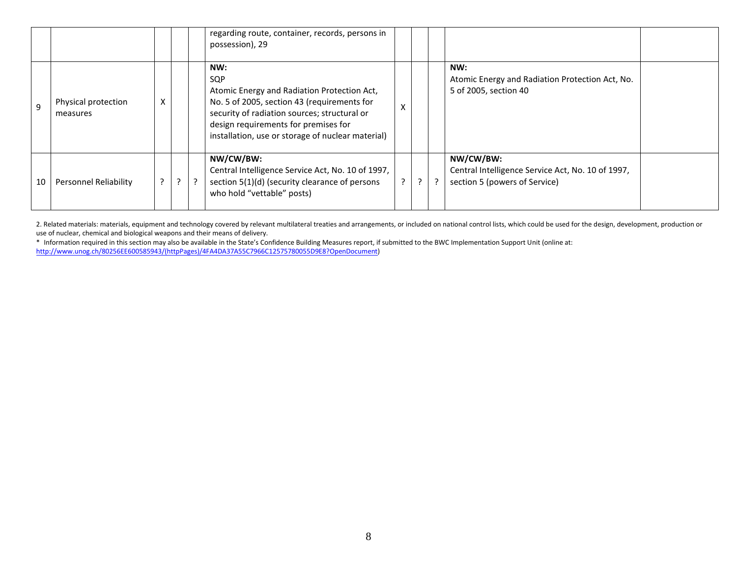|              |                                 |   |  | regarding route, container, records, persons in<br>possession), 29                                                                                                                                                                                    |         |                |               |                                                                                                 |  |
|--------------|---------------------------------|---|--|-------------------------------------------------------------------------------------------------------------------------------------------------------------------------------------------------------------------------------------------------------|---------|----------------|---------------|-------------------------------------------------------------------------------------------------|--|
| <sup>9</sup> | Physical protection<br>measures | X |  | NW:<br>SQP<br>Atomic Energy and Radiation Protection Act,<br>No. 5 of 2005, section 43 (requirements for<br>security of radiation sources; structural or<br>design requirements for premises for<br>installation, use or storage of nuclear material) | X       |                |               | NW:<br>Atomic Energy and Radiation Protection Act, No.<br>5 of 2005, section 40                 |  |
| 10           | <b>Personnel Reliability</b>    | ? |  | NW/CW/BW:<br>Central Intelligence Service Act, No. 10 of 1997,<br>section 5(1)(d) (security clearance of persons<br>who hold "vettable" posts)                                                                                                        | $\cdot$ | $\overline{z}$ | $\mathcal{P}$ | NW/CW/BW:<br>Central Intelligence Service Act, No. 10 of 1997,<br>section 5 (powers of Service) |  |

2. Related materials: materials, equipment and technology covered by relevant multilateral treaties and arrangements, or included on national control lists, which could be used for the design, development, production or use of nuclear, chemical and biological weapons and their means of delivery.

\* Information required in this section may also be available in the State's Confidence Building Measures report, if submitted to the BWC Implementation Support Unit (online at: [http://www.unog.ch/80256EE600585943/\(httpPages\)/4FA4DA37A55C7966C12575780055D9E8?OpenDocument\)](http://www.unog.ch/80256EE600585943/(httpPages)/4FA4DA37A55C7966C12575780055D9E8?OpenDocument)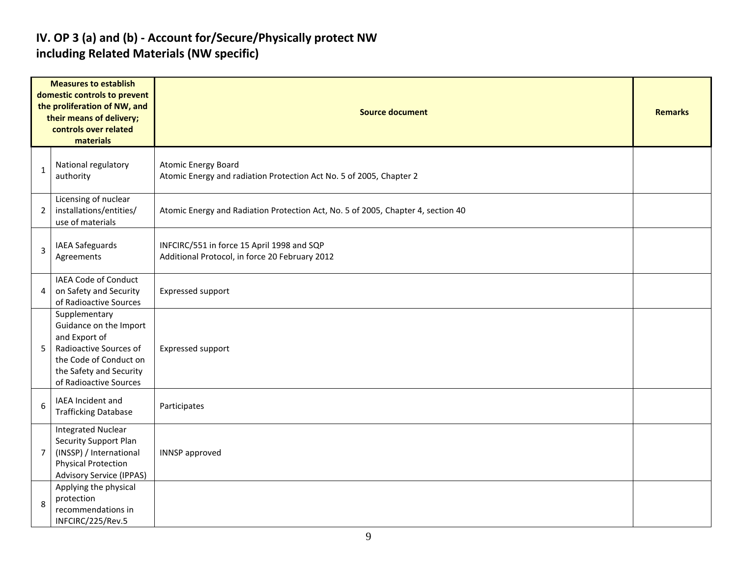#### **IV. OP 3 (a) and (b) - Account for/Secure/Physically protect NW including Related Materials (NW specific)**

| <b>Measures to establish</b><br>domestic controls to prevent<br>the proliferation of NW, and<br>their means of delivery;<br>controls over related<br>materials |                                                                                                                                                                   | <b>Source document</b>                                                                            |  |  |  |  |
|----------------------------------------------------------------------------------------------------------------------------------------------------------------|-------------------------------------------------------------------------------------------------------------------------------------------------------------------|---------------------------------------------------------------------------------------------------|--|--|--|--|
| 1                                                                                                                                                              | National regulatory<br>authority                                                                                                                                  | <b>Atomic Energy Board</b><br>Atomic Energy and radiation Protection Act No. 5 of 2005, Chapter 2 |  |  |  |  |
| 2                                                                                                                                                              | Licensing of nuclear<br>installations/entities/<br>use of materials                                                                                               | Atomic Energy and Radiation Protection Act, No. 5 of 2005, Chapter 4, section 40                  |  |  |  |  |
| 3                                                                                                                                                              | IAEA Safeguards<br>Agreements                                                                                                                                     | INFCIRC/551 in force 15 April 1998 and SQP<br>Additional Protocol, in force 20 February 2012      |  |  |  |  |
| 4                                                                                                                                                              | IAEA Code of Conduct<br>on Safety and Security<br>of Radioactive Sources                                                                                          | Expressed support                                                                                 |  |  |  |  |
| 5                                                                                                                                                              | Supplementary<br>Guidance on the Import<br>and Export of<br>Radioactive Sources of<br>the Code of Conduct on<br>the Safety and Security<br>of Radioactive Sources | Expressed support                                                                                 |  |  |  |  |
| 6                                                                                                                                                              | IAEA Incident and<br><b>Trafficking Database</b>                                                                                                                  | Participates                                                                                      |  |  |  |  |
| 7                                                                                                                                                              | <b>Integrated Nuclear</b><br>Security Support Plan<br>(INSSP) / International<br><b>Physical Protection</b><br><b>Advisory Service (IPPAS)</b>                    | <b>INNSP</b> approved                                                                             |  |  |  |  |
| 8                                                                                                                                                              | Applying the physical<br>protection<br>recommendations in<br>INFCIRC/225/Rev.5                                                                                    |                                                                                                   |  |  |  |  |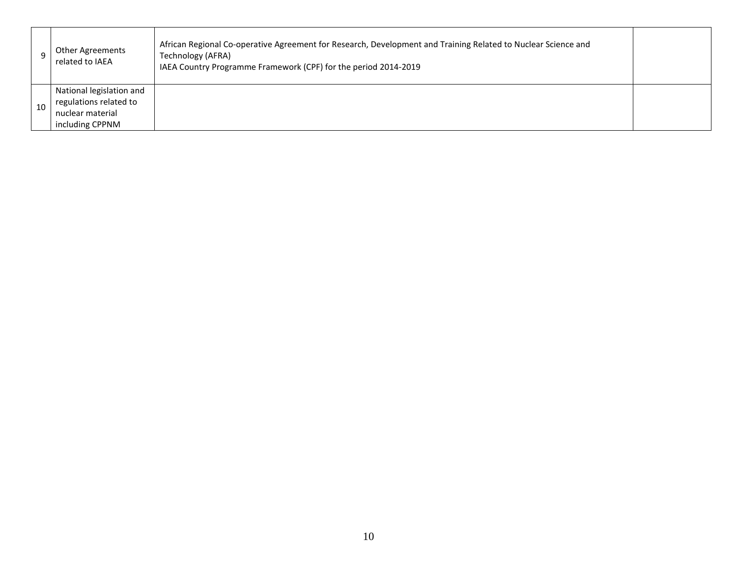|    | Other Agreements<br>related to IAEA                                                       | African Regional Co-operative Agreement for Research, Development and Training Related to Nuclear Science and<br>Technology (AFRA)<br>IAEA Country Programme Framework (CPF) for the period 2014-2019 |  |
|----|-------------------------------------------------------------------------------------------|-------------------------------------------------------------------------------------------------------------------------------------------------------------------------------------------------------|--|
| 10 | National legislation and<br>regulations related to<br>nuclear material<br>including CPPNM |                                                                                                                                                                                                       |  |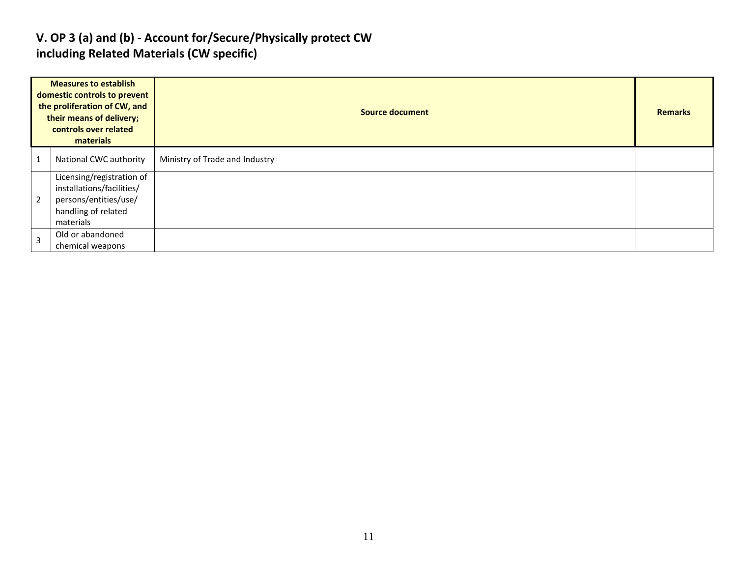#### **V. OP 3 (a) and (b) - Account for/Secure/Physically protect CW including Related Materials (CW specific)**

| <b>Measures to establish</b><br>domestic controls to prevent<br>the proliferation of CW, and<br>their means of delivery;<br>controls over related<br>materials |                                                                                                                     | <b>Source document</b>         | <b>Remarks</b> |
|----------------------------------------------------------------------------------------------------------------------------------------------------------------|---------------------------------------------------------------------------------------------------------------------|--------------------------------|----------------|
| $\overline{1}$                                                                                                                                                 | National CWC authority                                                                                              | Ministry of Trade and Industry |                |
| $\overline{2}$                                                                                                                                                 | Licensing/registration of<br>installations/facilities/<br>persons/entities/use/<br>handling of related<br>materials |                                |                |
| $\overline{3}$                                                                                                                                                 | Old or abandoned<br>chemical weapons                                                                                |                                |                |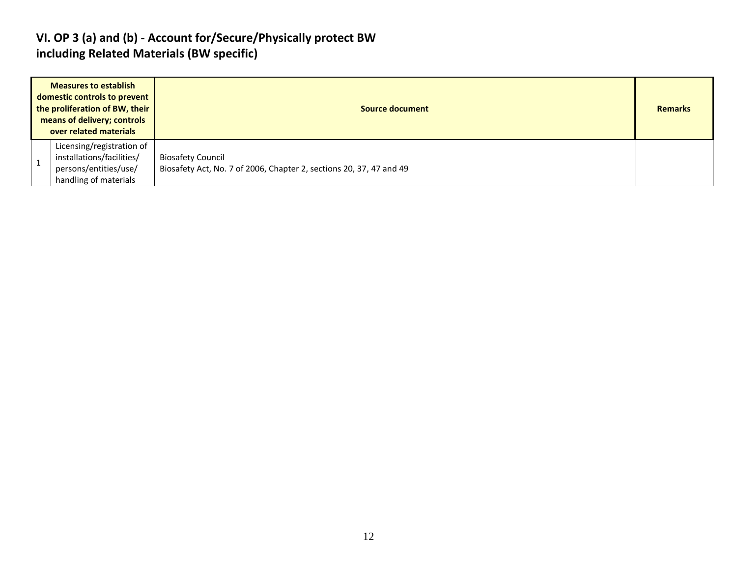#### **VI. OP 3 (a) and (b) - Account for/Secure/Physically protect BW including Related Materials (BW specific)**

| <b>Measures to establish</b><br>domestic controls to prevent<br>the proliferation of BW, their<br>means of delivery; controls<br>over related materials |                                                                                                          | Source document                                                                                 |  |
|---------------------------------------------------------------------------------------------------------------------------------------------------------|----------------------------------------------------------------------------------------------------------|-------------------------------------------------------------------------------------------------|--|
|                                                                                                                                                         | Licensing/registration of<br>installations/facilities/<br>persons/entities/use/<br>handling of materials | <b>Biosafety Council</b><br>Biosafety Act, No. 7 of 2006, Chapter 2, sections 20, 37, 47 and 49 |  |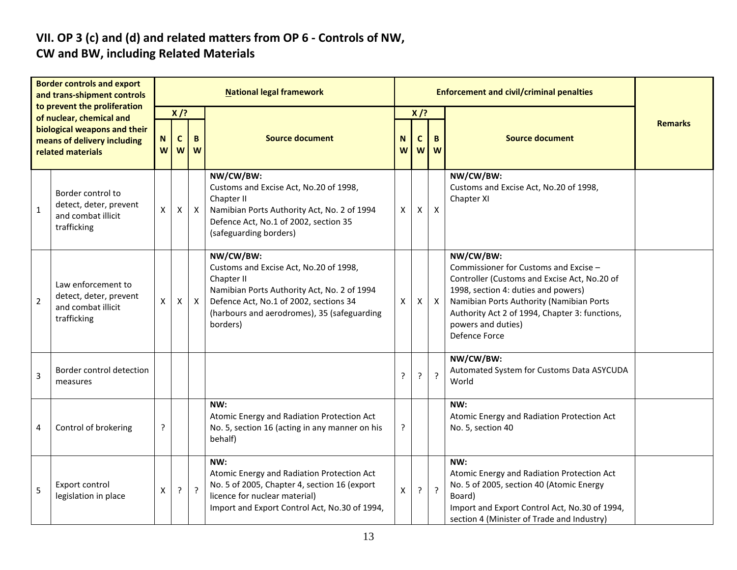# **VII. OP 3 (c) and (d) and related matters from OP 6 - Controls of NW,**

## **CW and BW, including Related Materials**

| <b>Border controls and export</b><br>and trans-shipment controls<br>to prevent the proliferation<br>of nuclear, chemical and<br>biological weapons and their<br>means of delivery including<br>related materials |                                                                                   | <b>National legal framework</b> |                  |              |                                                                                                                                                                                                                       |        |        |                  |                                                                                                                                                                                                                                                                                |                |
|------------------------------------------------------------------------------------------------------------------------------------------------------------------------------------------------------------------|-----------------------------------------------------------------------------------|---------------------------------|------------------|--------------|-----------------------------------------------------------------------------------------------------------------------------------------------------------------------------------------------------------------------|--------|--------|------------------|--------------------------------------------------------------------------------------------------------------------------------------------------------------------------------------------------------------------------------------------------------------------------------|----------------|
|                                                                                                                                                                                                                  |                                                                                   | $X$ /?                          |                  |              |                                                                                                                                                                                                                       |        | $X$ /? |                  |                                                                                                                                                                                                                                                                                | <b>Remarks</b> |
|                                                                                                                                                                                                                  |                                                                                   | N<br>W                          | $\mathbf c$<br>W | B<br>W       | <b>Source document</b>                                                                                                                                                                                                | N<br>W | C<br>W | B.<br>W          | <b>Source document</b>                                                                                                                                                                                                                                                         |                |
| 1                                                                                                                                                                                                                | Border control to<br>detect, deter, prevent<br>and combat illicit<br>trafficking  | X                               | X                | $\mathsf{X}$ | NW/CW/BW:<br>Customs and Excise Act, No.20 of 1998,<br>Chapter II<br>Namibian Ports Authority Act, No. 2 of 1994<br>Defence Act, No.1 of 2002, section 35<br>(safeguarding borders)                                   | Х      | Χ      | $\boldsymbol{X}$ | NW/CW/BW:<br>Customs and Excise Act, No.20 of 1998,<br>Chapter XI                                                                                                                                                                                                              |                |
| $\overline{2}$                                                                                                                                                                                                   | Law enforcement to<br>detect, deter, prevent<br>and combat illicit<br>trafficking | X                               | X                | $\mathsf{X}$ | NW/CW/BW:<br>Customs and Excise Act, No.20 of 1998,<br>Chapter II<br>Namibian Ports Authority Act, No. 2 of 1994<br>Defence Act, No.1 of 2002, sections 34<br>(harbours and aerodromes), 35 (safeguarding<br>borders) | Χ      | Х      | $\mathsf{X}$     | NW/CW/BW:<br>Commissioner for Customs and Excise -<br>Controller (Customs and Excise Act, No.20 of<br>1998, section 4: duties and powers)<br>Namibian Ports Authority (Namibian Ports<br>Authority Act 2 of 1994, Chapter 3: functions,<br>powers and duties)<br>Defence Force |                |
| 3                                                                                                                                                                                                                | Border control detection<br>measures                                              |                                 |                  |              |                                                                                                                                                                                                                       | P      | ŗ      | $\overline{?}$   | NW/CW/BW:<br>Automated System for Customs Data ASYCUDA<br>World                                                                                                                                                                                                                |                |
| 4                                                                                                                                                                                                                | Control of brokering                                                              | ?                               |                  |              | NW:<br>Atomic Energy and Radiation Protection Act<br>No. 5, section 16 (acting in any manner on his<br>behalf)                                                                                                        | ŗ      |        |                  | NW:<br>Atomic Energy and Radiation Protection Act<br>No. 5, section 40                                                                                                                                                                                                         |                |
| 5                                                                                                                                                                                                                | Export control<br>legislation in place                                            | $\pmb{\mathsf{X}}$              | $\ddot{?}$       | $\tilde{?}$  | NW:<br>Atomic Energy and Radiation Protection Act<br>No. 5 of 2005, Chapter 4, section 16 (export<br>licence for nuclear material)<br>Import and Export Control Act, No.30 of 1994,                                   | X      | ?      | $\overline{?}$   | NW:<br>Atomic Energy and Radiation Protection Act<br>No. 5 of 2005, section 40 (Atomic Energy<br>Board)<br>Import and Export Control Act, No.30 of 1994,<br>section 4 (Minister of Trade and Industry)                                                                         |                |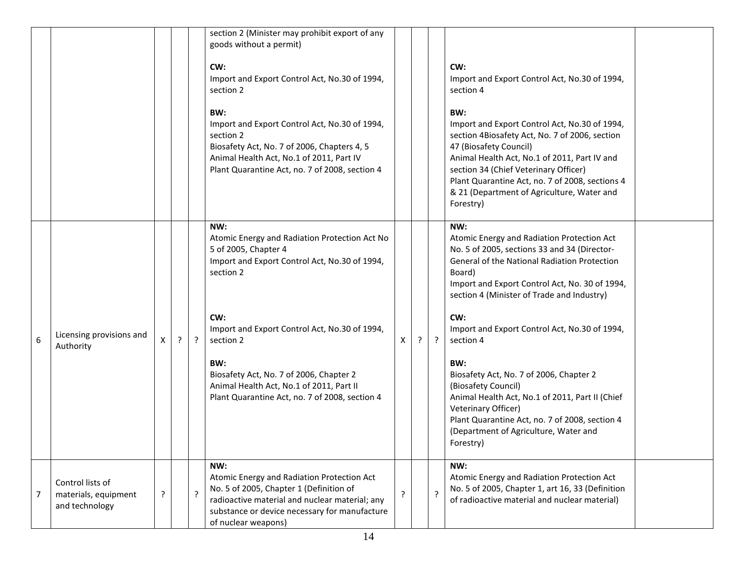|   |                                                            |   |         |         | section 2 (Minister may prohibit export of any<br>goods without a permit)                                                                                                                                              |             |         |                                                                                                                                                                                                                                                                                                                                         |
|---|------------------------------------------------------------|---|---------|---------|------------------------------------------------------------------------------------------------------------------------------------------------------------------------------------------------------------------------|-------------|---------|-----------------------------------------------------------------------------------------------------------------------------------------------------------------------------------------------------------------------------------------------------------------------------------------------------------------------------------------|
|   |                                                            |   |         |         | CW:<br>Import and Export Control Act, No.30 of 1994,<br>section 2                                                                                                                                                      |             |         | CW:<br>Import and Export Control Act, No.30 of 1994,<br>section 4                                                                                                                                                                                                                                                                       |
|   |                                                            |   |         |         | BW:<br>Import and Export Control Act, No.30 of 1994,<br>section 2<br>Biosafety Act, No. 7 of 2006, Chapters 4, 5<br>Animal Health Act, No.1 of 2011, Part IV<br>Plant Quarantine Act, no. 7 of 2008, section 4         |             |         | BW:<br>Import and Export Control Act, No.30 of 1994,<br>section 4Biosafety Act, No. 7 of 2006, section<br>47 (Biosafety Council)<br>Animal Health Act, No.1 of 2011, Part IV and<br>section 34 (Chief Veterinary Officer)<br>Plant Quarantine Act, no. 7 of 2008, sections 4<br>& 21 (Department of Agriculture, Water and<br>Forestry) |
|   |                                                            |   |         |         | NW:<br>Atomic Energy and Radiation Protection Act No<br>5 of 2005, Chapter 4<br>Import and Export Control Act, No.30 of 1994,<br>section 2                                                                             |             |         | NW:<br>Atomic Energy and Radiation Protection Act<br>No. 5 of 2005, sections 33 and 34 (Director-<br>General of the National Radiation Protection<br>Board)<br>Import and Export Control Act, No. 30 of 1994,<br>section 4 (Minister of Trade and Industry)                                                                             |
| 6 | Licensing provisions and<br>Authority                      | X | $\cdot$ | $\cdot$ | CW:<br>Import and Export Control Act, No.30 of 1994,<br>section 2                                                                                                                                                      | X           | $\cdot$ | CW:<br>Import and Export Control Act, No.30 of 1994,<br>section 4                                                                                                                                                                                                                                                                       |
|   |                                                            |   |         |         | BW:<br>Biosafety Act, No. 7 of 2006, Chapter 2<br>Animal Health Act, No.1 of 2011, Part II<br>Plant Quarantine Act, no. 7 of 2008, section 4                                                                           |             |         | BW:<br>Biosafety Act, No. 7 of 2006, Chapter 2<br>(Biosafety Council)<br>Animal Health Act, No.1 of 2011, Part II (Chief<br>Veterinary Officer)<br>Plant Quarantine Act, no. 7 of 2008, section 4<br>(Department of Agriculture, Water and<br>Forestry)                                                                                 |
| 7 | Control lists of<br>materials, equipment<br>and technology | ? |         | ?       | NW:<br>Atomic Energy and Radiation Protection Act<br>No. 5 of 2005, Chapter 1 (Definition of<br>radioactive material and nuclear material; any<br>substance or device necessary for manufacture<br>of nuclear weapons) | $\tilde{.}$ | $\cdot$ | NW:<br>Atomic Energy and Radiation Protection Act<br>No. 5 of 2005, Chapter 1, art 16, 33 (Definition<br>of radioactive material and nuclear material)                                                                                                                                                                                  |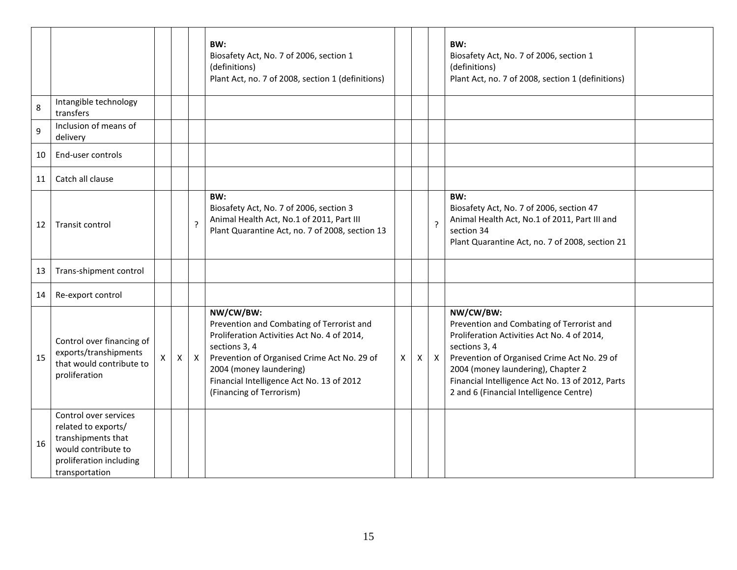|         |                                                                                                                                        |    |              |                | BW:<br>Biosafety Act, No. 7 of 2006, section 1<br>(definitions)<br>Plant Act, no. 7 of 2008, section 1 (definitions)                                                                                                                                                      |              |   |                | BW:<br>Biosafety Act, No. 7 of 2006, section 1<br>(definitions)<br>Plant Act, no. 7 of 2008, section 1 (definitions)                                                                                                                                                                                       |  |
|---------|----------------------------------------------------------------------------------------------------------------------------------------|----|--------------|----------------|---------------------------------------------------------------------------------------------------------------------------------------------------------------------------------------------------------------------------------------------------------------------------|--------------|---|----------------|------------------------------------------------------------------------------------------------------------------------------------------------------------------------------------------------------------------------------------------------------------------------------------------------------------|--|
| $\,8\,$ | Intangible technology<br>transfers                                                                                                     |    |              |                |                                                                                                                                                                                                                                                                           |              |   |                |                                                                                                                                                                                                                                                                                                            |  |
| 9       | Inclusion of means of<br>delivery                                                                                                      |    |              |                |                                                                                                                                                                                                                                                                           |              |   |                |                                                                                                                                                                                                                                                                                                            |  |
| 10      | End-user controls                                                                                                                      |    |              |                |                                                                                                                                                                                                                                                                           |              |   |                |                                                                                                                                                                                                                                                                                                            |  |
| 11      | Catch all clause                                                                                                                       |    |              |                |                                                                                                                                                                                                                                                                           |              |   |                |                                                                                                                                                                                                                                                                                                            |  |
| 12      | Transit control                                                                                                                        |    |              | $\overline{?}$ | BW:<br>Biosafety Act, No. 7 of 2006, section 3<br>Animal Health Act, No.1 of 2011, Part III<br>Plant Quarantine Act, no. 7 of 2008, section 13                                                                                                                            |              |   | $\overline{?}$ | BW:<br>Biosafety Act, No. 7 of 2006, section 47<br>Animal Health Act, No.1 of 2011, Part III and<br>section 34<br>Plant Quarantine Act, no. 7 of 2008, section 21                                                                                                                                          |  |
| 13      | Trans-shipment control                                                                                                                 |    |              |                |                                                                                                                                                                                                                                                                           |              |   |                |                                                                                                                                                                                                                                                                                                            |  |
| 14      | Re-export control                                                                                                                      |    |              |                |                                                                                                                                                                                                                                                                           |              |   |                |                                                                                                                                                                                                                                                                                                            |  |
| 15      | Control over financing of<br>exports/transhipments<br>that would contribute to<br>proliferation                                        | X. | $\mathsf{X}$ | $\mathsf{x}$   | NW/CW/BW:<br>Prevention and Combating of Terrorist and<br>Proliferation Activities Act No. 4 of 2014,<br>sections 3, 4<br>Prevention of Organised Crime Act No. 29 of<br>2004 (money laundering)<br>Financial Intelligence Act No. 13 of 2012<br>(Financing of Terrorism) | $\mathsf{X}$ | X | $\mathsf{X}$   | NW/CW/BW:<br>Prevention and Combating of Terrorist and<br>Proliferation Activities Act No. 4 of 2014,<br>sections 3, 4<br>Prevention of Organised Crime Act No. 29 of<br>2004 (money laundering), Chapter 2<br>Financial Intelligence Act No. 13 of 2012, Parts<br>2 and 6 (Financial Intelligence Centre) |  |
| 16      | Control over services<br>related to exports/<br>transhipments that<br>would contribute to<br>proliferation including<br>transportation |    |              |                |                                                                                                                                                                                                                                                                           |              |   |                |                                                                                                                                                                                                                                                                                                            |  |